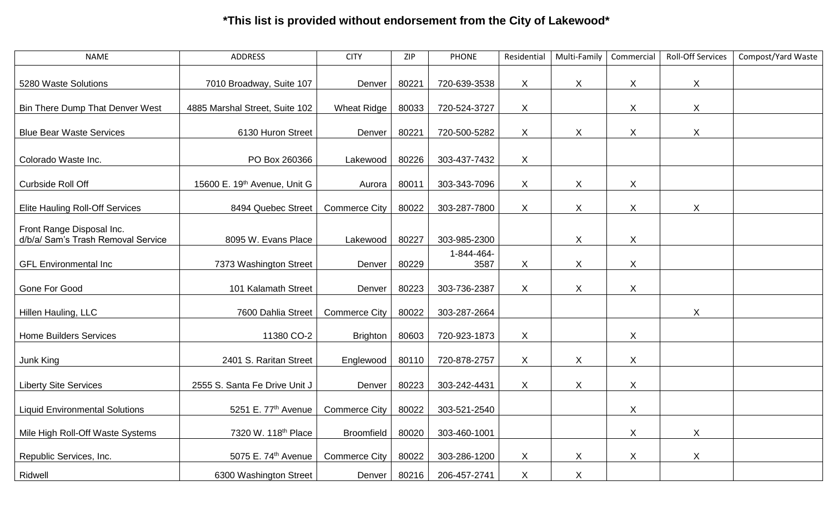## **\*This list is provided without endorsement from the City of Lakewood\***

| <b>NAME</b>                                                     | <b>ADDRESS</b>                  | <b>CITY</b>          | ZIP   | <b>PHONE</b>       | Residential  | Multi-Family | Commercial                | <b>Roll-Off Services</b> | Compost/Yard Waste |
|-----------------------------------------------------------------|---------------------------------|----------------------|-------|--------------------|--------------|--------------|---------------------------|--------------------------|--------------------|
| 5280 Waste Solutions                                            | 7010 Broadway, Suite 107        | Denver               | 80221 | 720-639-3538       | $\sf X$      | X            | X                         | X                        |                    |
| Bin There Dump That Denver West                                 | 4885 Marshal Street, Suite 102  | Wheat Ridge          | 80033 | 720-524-3727       | X            |              | $\pmb{\times}$            | X                        |                    |
| <b>Blue Bear Waste Services</b>                                 | 6130 Huron Street               | Denver               | 80221 | 720-500-5282       | X            | X            | $\pmb{\times}$            | $\mathsf{X}$             |                    |
| Colorado Waste Inc.                                             | PO Box 260366                   | Lakewood             | 80226 | 303-437-7432       | X            |              |                           |                          |                    |
| <b>Curbside Roll Off</b>                                        | 15600 E. 19th Avenue, Unit G    | Aurora               | 80011 | 303-343-7096       | X            | $\mathsf{X}$ | $\pmb{\times}$            |                          |                    |
| <b>Elite Hauling Roll-Off Services</b>                          | 8494 Quebec Street              | <b>Commerce City</b> | 80022 | 303-287-7800       | $\mathsf{X}$ | $\mathsf X$  | X                         | X                        |                    |
| Front Range Disposal Inc.<br>d/b/a/ Sam's Trash Removal Service | 8095 W. Evans Place             | Lakewood             | 80227 | 303-985-2300       |              | $\mathsf{X}$ | $\sf X$                   |                          |                    |
| <b>GFL Environmental Inc</b>                                    | 7373 Washington Street          | Denver               | 80229 | 1-844-464-<br>3587 | $\sf X$      | $\mathsf{X}$ | $\boldsymbol{\mathsf{X}}$ |                          |                    |
| Gone For Good                                                   | 101 Kalamath Street             | Denver               | 80223 | 303-736-2387       | X            | X            | $\mathsf{X}$              |                          |                    |
| Hillen Hauling, LLC                                             | 7600 Dahlia Street              | <b>Commerce City</b> | 80022 | 303-287-2664       |              |              |                           | X                        |                    |
| <b>Home Builders Services</b>                                   | 11380 CO-2                      | <b>Brighton</b>      | 80603 | 720-923-1873       | X            |              | X                         |                          |                    |
| Junk King                                                       | 2401 S. Raritan Street          | Englewood            | 80110 | 720-878-2757       | $\mathsf{X}$ | $\mathsf{X}$ | $\pmb{\times}$            |                          |                    |
| <b>Liberty Site Services</b>                                    | 2555 S. Santa Fe Drive Unit J   | Denver               | 80223 | 303-242-4431       | X            | $\mathsf{X}$ | $\mathsf{X}$              |                          |                    |
| <b>Liquid Environmental Solutions</b>                           | 5251 E. 77th Avenue             | <b>Commerce City</b> | 80022 | 303-521-2540       |              |              | $\boldsymbol{X}$          |                          |                    |
| Mile High Roll-Off Waste Systems                                | 7320 W. 118th Place             | <b>Broomfield</b>    | 80020 | 303-460-1001       |              |              | $\boldsymbol{X}$          | $\mathsf{X}$             |                    |
| Republic Services, Inc.                                         | 5075 E. 74 <sup>th</sup> Avenue | <b>Commerce City</b> | 80022 | 303-286-1200       | X            | X            | $\mathsf{X}$              | X                        |                    |
| Ridwell                                                         | 6300 Washington Street          | Denver               | 80216 | 206-457-2741       | $\sf X$      | X            |                           |                          |                    |